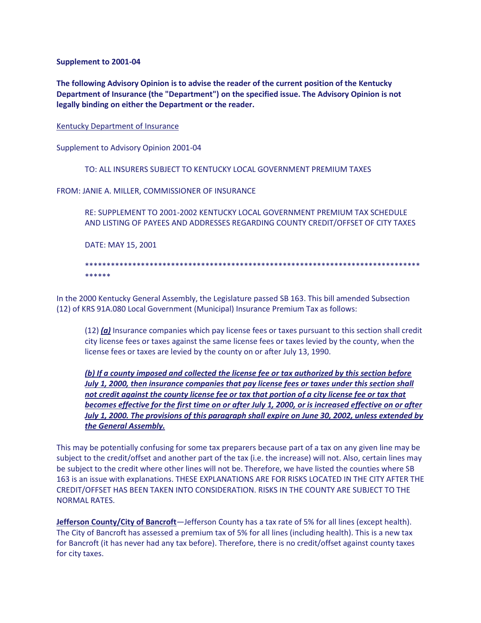**Supplement to 2001-04**

**The following Advisory Opinion is to advise the reader of the current position of the Kentucky Department of Insurance (the "Department") on the specified issue. The Advisory Opinion is not legally binding on either the Department or the reader.**

Kentucky Department of Insurance

Supplement to Advisory Opinion 2001-04

TO: ALL INSURERS SUBJECT TO KENTUCKY LOCAL GOVERNMENT PREMIUM TAXES

FROM: JANIE A. MILLER, COMMISSIONER OF INSURANCE

RE: SUPPLEMENT TO 2001-2002 KENTUCKY LOCAL GOVERNMENT PREMIUM TAX SCHEDULE AND LISTING OF PAYEES AND ADDRESSES REGARDING COUNTY CREDIT/OFFSET OF CITY TAXES

DATE: MAY 15, 2001

\*\*\*\*\*\*\*\*\*\*\*\*\*\*\*\*\*\*\*\*\*\*\*\*\*\*\*\*\*\*\*\*\*\*\*\*\*\*\*\*\*\*\*\*\*\*\*\*\*\*\*\*\*\*\*\*\*\*\*\*\*\*\*\*\*\*\*\*\*\*\*\*\*\*\*\*\*\* \*\*\*\*\*\*

In the 2000 Kentucky General Assembly, the Legislature passed SB 163. This bill amended Subsection (12) of KRS 91A.080 Local Government (Municipal) Insurance Premium Tax as follows:

(12) *(a)* Insurance companies which pay license fees or taxes pursuant to this section shall credit city license fees or taxes against the same license fees or taxes levied by the county, when the license fees or taxes are levied by the county on or after July 13, 1990.

*(b) If a county imposed and collected the license fee or tax authorized by this section before July 1, 2000, then insurance companies that pay license fees or taxes under this section shall not credit against the county license fee or tax that portion of a city license fee or tax that becomes effective for the first time on or after July 1, 2000, or is increased effective on or after July 1, 2000. The provisions of this paragraph shall expire on June 30, 2002, unless extended by the General Assembly.*

This may be potentially confusing for some tax preparers because part of a tax on any given line may be subject to the credit/offset and another part of the tax (i.e. the increase) will not. Also, certain lines may be subject to the credit where other lines will not be. Therefore, we have listed the counties where SB 163 is an issue with explanations. THESE EXPLANATIONS ARE FOR RISKS LOCATED IN THE CITY AFTER THE CREDIT/OFFSET HAS BEEN TAKEN INTO CONSIDERATION. RISKS IN THE COUNTY ARE SUBJECT TO THE NORMAL RATES.

**Jefferson County/City of Bancroft**—Jefferson County has a tax rate of 5% for all lines (except health). The City of Bancroft has assessed a premium tax of 5% for all lines (including health). This is a new tax for Bancroft (it has never had any tax before). Therefore, there is no credit/offset against county taxes for city taxes.